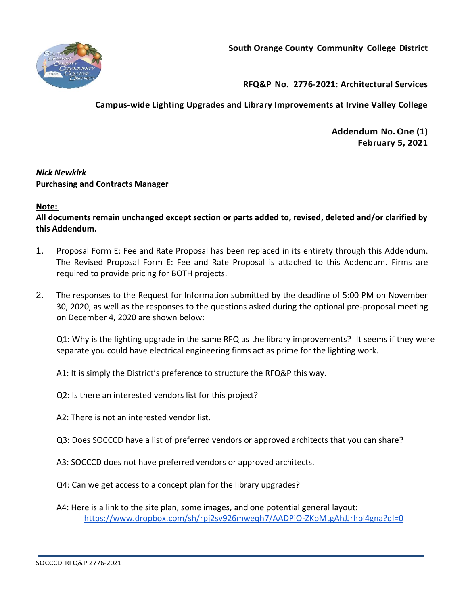

**RFQ&P No. 2776-2021: Architectural Services**

**Campus-wide Lighting Upgrades and Library Improvements at Irvine Valley College**

**Addendum No.One (1) February 5, 2021**

# *Nick Newkirk*  **Purchasing and Contracts Manager**

# **Note:**

**All documents remain unchanged except section or parts added to, revised, deleted and/or clarified by this Addendum.**

- 1. Proposal Form E: Fee and Rate Proposal has been replaced in its entirety through this Addendum. The Revised Proposal Form E: Fee and Rate Proposal is attached to this Addendum. Firms are required to provide pricing for BOTH projects.
- 2. The responses to the Request for Information submitted by the deadline of 5:00 PM on November 30, 2020, as well as the responses to the questions asked during the optional pre-proposal meeting on December 4, 2020 are shown below:

Q1: Why is the lighting upgrade in the same RFQ as the library improvements? It seems if they were separate you could have electrical engineering firms act as prime for the lighting work.

A1: It is simply the District's preference to structure the RFQ&P this way.

- Q2: Is there an interested vendors list for this project?
- A2: There is not an interested vendor list.
- Q3: Does SOCCCD have a list of preferred vendors or approved architects that you can share?
- A3: SOCCCD does not have preferred vendors or approved architects.
- Q4: Can we get access to a concept plan for the library upgrades?
- A4: Here is a link to the site plan, some images, and one potential general layout: <https://www.dropbox.com/sh/rpj2sv926mweqh7/AADPiO-ZKpMtgAhJJrhpl4gna?dl=0>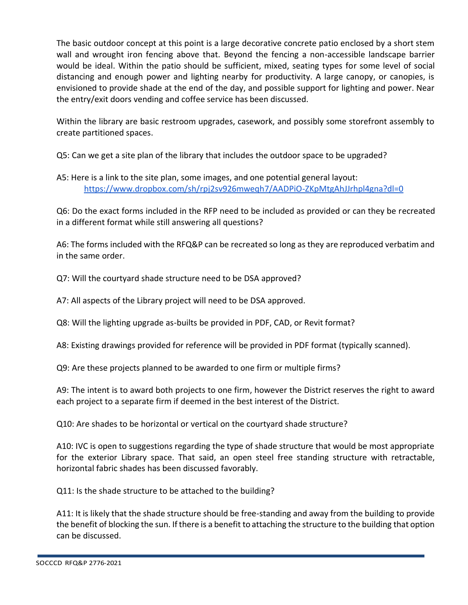The basic outdoor concept at this point is a large decorative concrete patio enclosed by a short stem wall and wrought iron fencing above that. Beyond the fencing a non-accessible landscape barrier would be ideal. Within the patio should be sufficient, mixed, seating types for some level of social distancing and enough power and lighting nearby for productivity. A large canopy, or canopies, is envisioned to provide shade at the end of the day, and possible support for lighting and power. Near the entry/exit doors vending and coffee service has been discussed.

Within the library are basic restroom upgrades, casework, and possibly some storefront assembly to create partitioned spaces.

Q5: Can we get a site plan of the library that includes the outdoor space to be upgraded?

A5: Here is a link to the site plan, some images, and one potential general layout: <https://www.dropbox.com/sh/rpj2sv926mweqh7/AADPiO-ZKpMtgAhJJrhpl4gna?dl=0>

Q6: Do the exact forms included in the RFP need to be included as provided or can they be recreated in a different format while still answering all questions?

A6: The forms included with the RFQ&P can be recreated so long as they are reproduced verbatim and in the same order.

Q7: Will the courtyard shade structure need to be DSA approved?

A7: All aspects of the Library project will need to be DSA approved.

Q8: Will the lighting upgrade as-builts be provided in PDF, CAD, or Revit format?

A8: Existing drawings provided for reference will be provided in PDF format (typically scanned).

Q9: Are these projects planned to be awarded to one firm or multiple firms?

A9: The intent is to award both projects to one firm, however the District reserves the right to award each project to a separate firm if deemed in the best interest of the District.

Q10: Are shades to be horizontal or vertical on the courtyard shade structure?

A10: IVC is open to suggestions regarding the type of shade structure that would be most appropriate for the exterior Library space. That said, an open steel free standing structure with retractable, horizontal fabric shades has been discussed favorably.

Q11: Is the shade structure to be attached to the building?

A11: It is likely that the shade structure should be free-standing and away from the building to provide the benefit of blocking the sun. If there is a benefit to attaching the structure to the building that option can be discussed.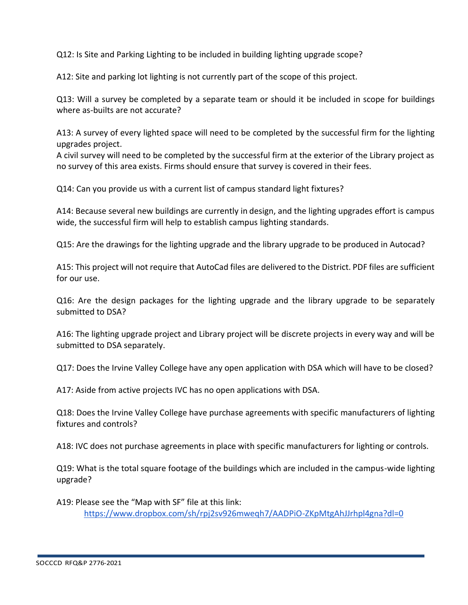Q12: Is Site and Parking Lighting to be included in building lighting upgrade scope?

A12: Site and parking lot lighting is not currently part of the scope of this project.

Q13: Will a survey be completed by a separate team or should it be included in scope for buildings where as-builts are not accurate?

A13: A survey of every lighted space will need to be completed by the successful firm for the lighting upgrades project.

A civil survey will need to be completed by the successful firm at the exterior of the Library project as no survey of this area exists. Firms should ensure that survey is covered in their fees.

Q14: Can you provide us with a current list of campus standard light fixtures?

A14: Because several new buildings are currently in design, and the lighting upgrades effort is campus wide, the successful firm will help to establish campus lighting standards.

Q15: Are the drawings for the lighting upgrade and the library upgrade to be produced in Autocad?

A15: This project will not require that AutoCad files are delivered to the District. PDF files are sufficient for our use.

Q16: Are the design packages for the lighting upgrade and the library upgrade to be separately submitted to DSA?

A16: The lighting upgrade project and Library project will be discrete projects in every way and will be submitted to DSA separately.

Q17: Does the Irvine Valley College have any open application with DSA which will have to be closed?

A17: Aside from active projects IVC has no open applications with DSA.

Q18: Does the Irvine Valley College have purchase agreements with specific manufacturers of lighting fixtures and controls?

A18: IVC does not purchase agreements in place with specific manufacturers for lighting or controls.

Q19: What is the total square footage of the buildings which are included in the campus-wide lighting upgrade?

A19: Please see the "Map with SF" file at this link: <https://www.dropbox.com/sh/rpj2sv926mweqh7/AADPiO-ZKpMtgAhJJrhpl4gna?dl=0>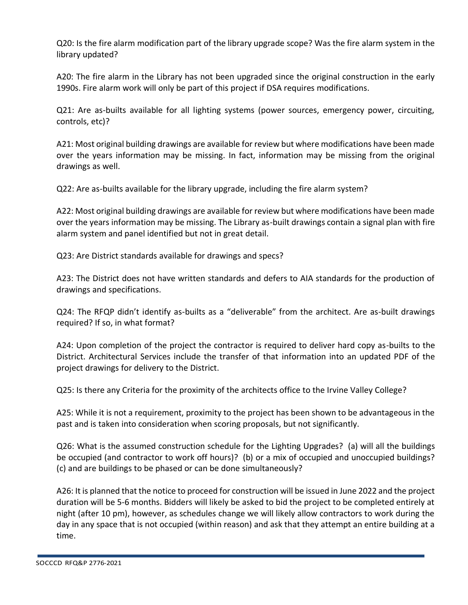Q20: Is the fire alarm modification part of the library upgrade scope? Was the fire alarm system in the library updated?

A20: The fire alarm in the Library has not been upgraded since the original construction in the early 1990s. Fire alarm work will only be part of this project if DSA requires modifications.

Q21: Are as-builts available for all lighting systems (power sources, emergency power, circuiting, controls, etc)?

A21: Most original building drawings are available for review but where modifications have been made over the years information may be missing. In fact, information may be missing from the original drawings as well.

Q22: Are as-builts available for the library upgrade, including the fire alarm system?

A22: Most original building drawings are available for review but where modifications have been made over the years information may be missing. The Library as-built drawings contain a signal plan with fire alarm system and panel identified but not in great detail.

Q23: Are District standards available for drawings and specs?

A23: The District does not have written standards and defers to AIA standards for the production of drawings and specifications.

Q24: The RFQP didn't identify as-builts as a "deliverable" from the architect. Are as-built drawings required? If so, in what format?

A24: Upon completion of the project the contractor is required to deliver hard copy as-builts to the District. Architectural Services include the transfer of that information into an updated PDF of the project drawings for delivery to the District.

Q25: Is there any Criteria for the proximity of the architects office to the Irvine Valley College?

A25: While it is not a requirement, proximity to the project has been shown to be advantageous in the past and is taken into consideration when scoring proposals, but not significantly.

Q26: What is the assumed construction schedule for the Lighting Upgrades? (a) will all the buildings be occupied (and contractor to work off hours)? (b) or a mix of occupied and unoccupied buildings? (c) and are buildings to be phased or can be done simultaneously?

A26: It is planned that the notice to proceed for construction will be issued in June 2022 and the project duration will be 5-6 months. Bidders will likely be asked to bid the project to be completed entirely at night (after 10 pm), however, as schedules change we will likely allow contractors to work during the day in any space that is not occupied (within reason) and ask that they attempt an entire building at a time.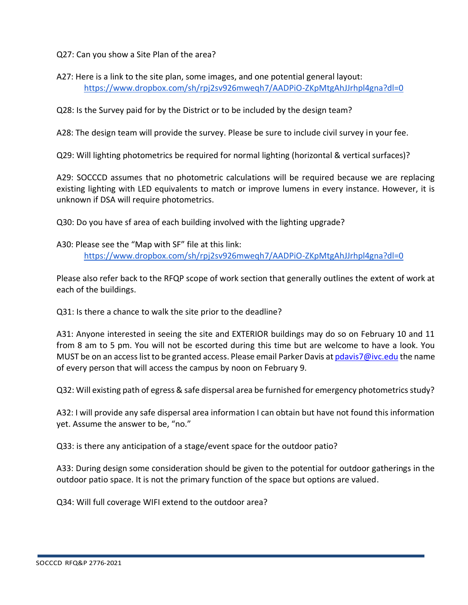Q27: Can you show a Site Plan of the area?

A27: Here is a link to the site plan, some images, and one potential general layout: <https://www.dropbox.com/sh/rpj2sv926mweqh7/AADPiO-ZKpMtgAhJJrhpl4gna?dl=0>

Q28: Is the Survey paid for by the District or to be included by the design team?

A28: The design team will provide the survey. Please be sure to include civil survey in your fee.

Q29: Will lighting photometrics be required for normal lighting (horizontal & vertical surfaces)?

A29: SOCCCD assumes that no photometric calculations will be required because we are replacing existing lighting with LED equivalents to match or improve lumens in every instance. However, it is unknown if DSA will require photometrics.

Q30: Do you have sf area of each building involved with the lighting upgrade?

A30: Please see the "Map with SF" file at this link: <https://www.dropbox.com/sh/rpj2sv926mweqh7/AADPiO-ZKpMtgAhJJrhpl4gna?dl=0>

Please also refer back to the RFQP scope of work section that generally outlines the extent of work at each of the buildings.

Q31: Is there a chance to walk the site prior to the deadline?

A31: Anyone interested in seeing the site and EXTERIOR buildings may do so on February 10 and 11 from 8 am to 5 pm. You will not be escorted during this time but are welcome to have a look. You MUST be on an access list to be granted access. Please email Parker Davis a[t pdavis7@ivc.edu](mailto:pdavis7@ivc.edu) the name of every person that will access the campus by noon on February 9.

Q32: Will existing path of egress & safe dispersal area be furnished for emergency photometrics study?

A32: I will provide any safe dispersal area information I can obtain but have not found this information yet. Assume the answer to be, "no."

Q33: is there any anticipation of a stage/event space for the outdoor patio?

A33: During design some consideration should be given to the potential for outdoor gatherings in the outdoor patio space. It is not the primary function of the space but options are valued.

Q34: Will full coverage WIFI extend to the outdoor area?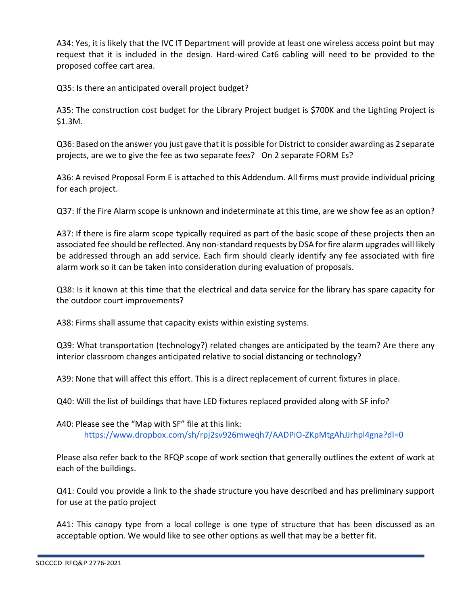A34: Yes, it is likely that the IVC IT Department will provide at least one wireless access point but may request that it is included in the design. Hard-wired Cat6 cabling will need to be provided to the proposed coffee cart area.

Q35: Is there an anticipated overall project budget?

A35: The construction cost budget for the Library Project budget is \$700K and the Lighting Project is \$1.3M.

Q36: Based on the answer you just gave that it is possible for District to consider awarding as 2 separate projects, are we to give the fee as two separate fees? On 2 separate FORM Es?

A36: A revised Proposal Form E is attached to this Addendum. All firms must provide individual pricing for each project.

Q37: If the Fire Alarm scope is unknown and indeterminate at this time, are we show fee as an option?

A37: If there is fire alarm scope typically required as part of the basic scope of these projects then an associated fee should be reflected. Any non-standard requests by DSA for fire alarm upgrades will likely be addressed through an add service. Each firm should clearly identify any fee associated with fire alarm work so it can be taken into consideration during evaluation of proposals.

Q38: Is it known at this time that the electrical and data service for the library has spare capacity for the outdoor court improvements?

A38: Firms shall assume that capacity exists within existing systems.

Q39: What transportation (technology?) related changes are anticipated by the team? Are there any interior classroom changes anticipated relative to social distancing or technology?

A39: None that will affect this effort. This is a direct replacement of current fixtures in place.

Q40: Will the list of buildings that have LED fixtures replaced provided along with SF info?

A40: Please see the "Map with SF" file at this link: <https://www.dropbox.com/sh/rpj2sv926mweqh7/AADPiO-ZKpMtgAhJJrhpl4gna?dl=0>

Please also refer back to the RFQP scope of work section that generally outlines the extent of work at each of the buildings.

Q41: Could you provide a link to the shade structure you have described and has preliminary support for use at the patio project

A41: This canopy type from a local college is one type of structure that has been discussed as an acceptable option. We would like to see other options as well that may be a better fit.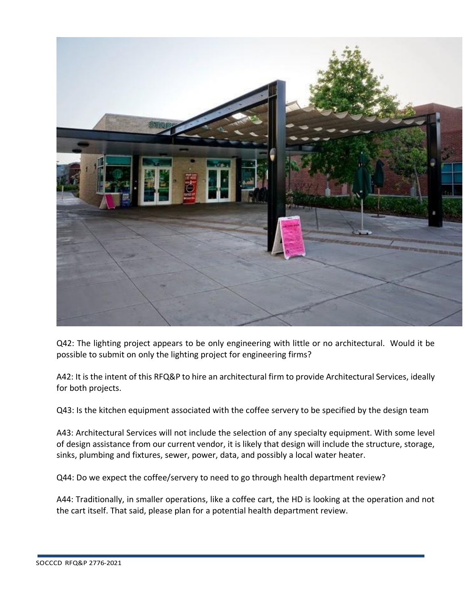

Q42: The lighting project appears to be only engineering with little or no architectural. Would it be possible to submit on only the lighting project for engineering firms?

A42: It is the intent of this RFQ&P to hire an architectural firm to provide Architectural Services, ideally for both projects.

Q43: Is the kitchen equipment associated with the coffee servery to be specified by the design team

A43: Architectural Services will not include the selection of any specialty equipment. With some level of design assistance from our current vendor, it is likely that design will include the structure, storage, sinks, plumbing and fixtures, sewer, power, data, and possibly a local water heater.

Q44: Do we expect the coffee/servery to need to go through health department review?

A44: Traditionally, in smaller operations, like a coffee cart, the HD is looking at the operation and not the cart itself. That said, please plan for a potential health department review.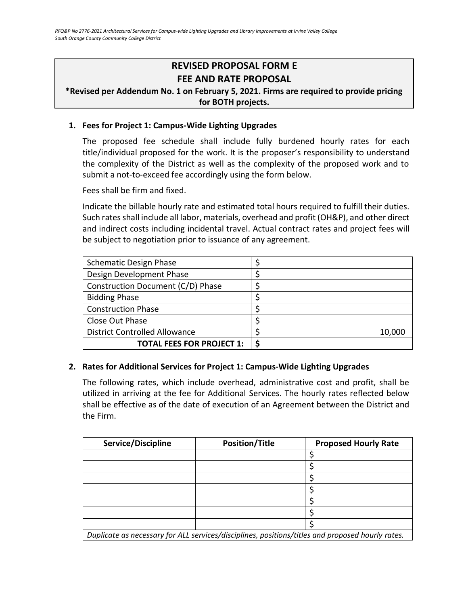# **REVISED PROPOSAL FORM E FEE AND RATE PROPOSAL**

# **\*Revised per Addendum No. 1 on February 5, 2021. Firms are required to provide pricing for BOTH projects.**

### **1. Fees for Project 1: Campus-Wide Lighting Upgrades**

The proposed fee schedule shall include fully burdened hourly rates for each title/individual proposed for the work. It is the proposer's responsibility to understand the complexity of the District as well as the complexity of the proposed work and to submit a not-to-exceed fee accordingly using the form below.

Fees shall be firm and fixed.

Indicate the billable hourly rate and estimated total hours required to fulfill their duties. Such rates shall include all labor, materials, overhead and profit (OH&P), and other direct and indirect costs including incidental travel. Actual contract rates and project fees will be subject to negotiation prior to issuance of any agreement.

| <b>Schematic Design Phase</b>        |        |
|--------------------------------------|--------|
| Design Development Phase             |        |
| Construction Document (C/D) Phase    |        |
| <b>Bidding Phase</b>                 |        |
| <b>Construction Phase</b>            |        |
| Close Out Phase                      |        |
| <b>District Controlled Allowance</b> | 10,000 |
| <b>TOTAL FEES FOR PROJECT 1:</b>     | ς      |

#### **2. Rates for Additional Services for Project 1: Campus-Wide Lighting Upgrades**

The following rates, which include overhead, administrative cost and profit, shall be utilized in arriving at the fee for Additional Services. The hourly rates reflected below shall be effective as of the date of execution of an Agreement between the District and the Firm.

| Service/Discipline                                                                               | <b>Position/Title</b> | <b>Proposed Hourly Rate</b> |
|--------------------------------------------------------------------------------------------------|-----------------------|-----------------------------|
|                                                                                                  |                       |                             |
|                                                                                                  |                       |                             |
|                                                                                                  |                       |                             |
|                                                                                                  |                       |                             |
|                                                                                                  |                       |                             |
|                                                                                                  |                       |                             |
|                                                                                                  |                       |                             |
| Duplicate as necessary for ALL services/disciplines, positions/titles and proposed hourly rates. |                       |                             |